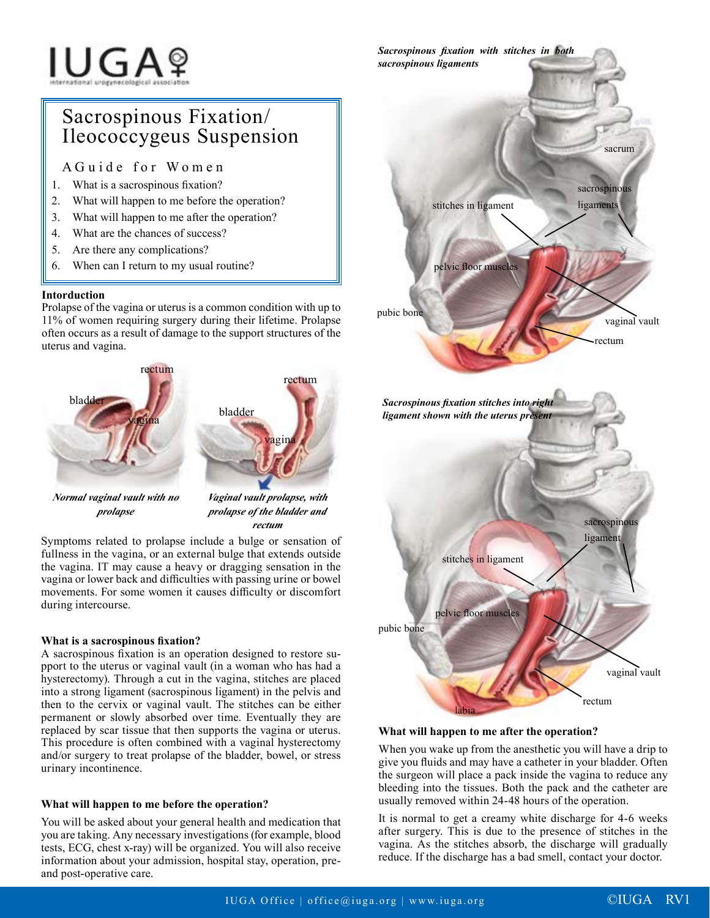# **IUGA**?

# Sacrospinous Fixation/ Ileococcygeus Suspension

AGuide for Women

- 1. What is a sacrospinous fixation?
- 2. What will happen to me before the operation?
- 3. What will happen to me after the operation?
- 4. What are the chances of success?
- 5. Are there any complications?
- 6. When can I return to my usual routine?

# **Intorduction**

Prolapse of the vagina or uterus is a common condition with up to 11% of women requiring surgery during their lifetime. Prolapse often occurs as a result of damage to the support structures of the uterus and vagina.



*prolapse*

*prolapse of the bladder and rectum*

Symptoms related to prolapse include a bulge or sensation of fullness in the vagina, or an external bulge that extends outside the vagina. IT may cause a heavy or dragging sensation in the vagina or lower back and difficulties with passing urine or bowel movements. For some women it causes difficulty or discomfort during intercourse.

## **What is a sacrospinous fixation?**

A sacrospinous fixation is an operation designed to restore support to the uterus or vaginal vault (in a woman who has had a hysterectomy). Through a cut in the vagina, stitches are placed into a strong ligament (sacrospinous ligament) in the pelvis and then to the cervix or vaginal vault. The stitches can be either permanent or slowly absorbed over time. Eventually they are replaced by scar tissue that then supports the vagina or uterus. This procedure is often combined with a vaginal hysterectomy and/or surgery to treat prolapse of the bladder, bowel, or stress urinary incontinence.

## **What will happen to me before the operation?**

You will be asked about your general health and medication that you are taking. Any necessary investigations (for example, blood tests, ECG, chest x-ray) will be organized. You will also receive information about your admission, hospital stay, operation, preand post-operative care.



#### **What will happen to me after the operation?**

When you wake up from the anesthetic you will have a drip to give you fluids and may have a catheter in your bladder. Often the surgeon will place a pack inside the vagina to reduce any bleeding into the tissues. Both the pack and the catheter are usually removed within 24-48 hours of the operation.

It is normal to get a creamy white discharge for 4-6 weeks after surgery. This is due to the presence of stitches in the vagina. As the stitches absorb, the discharge will gradually reduce. If the discharge has a bad smell, contact your doctor.